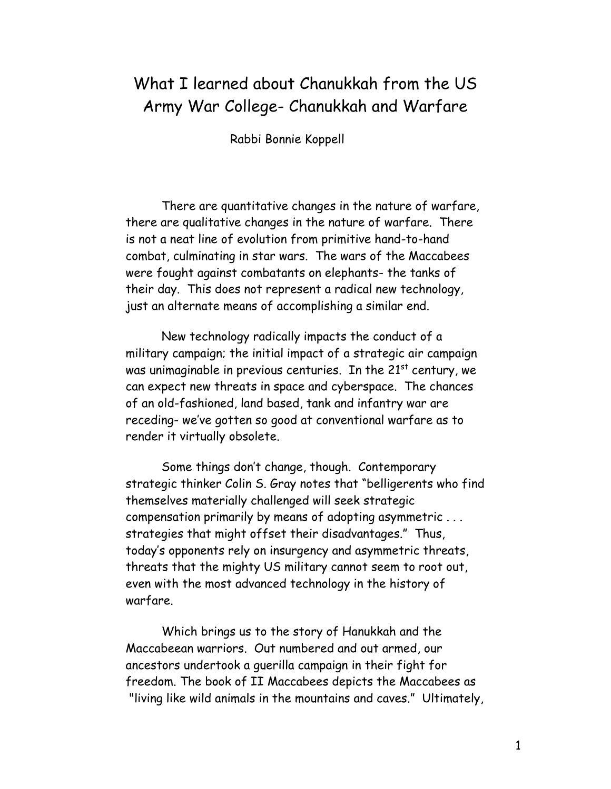## What I learned about Chanukkah from the US Army War College- Chanukkah and Warfare

Rabbi Bonnie Koppell

There are quantitative changes in the nature of warfare, there are qualitative changes in the nature of warfare. There is not a neat line of evolution from primitive hand-to-hand combat, culminating in star wars. The wars of the Maccabees were fought against combatants on elephants- the tanks of their day. This does not represent a radical new technology, just an alternate means of accomplishing a similar end.

New technology radically impacts the conduct of a military campaign; the initial impact of a strategic air campaign was unimaginable in previous centuries. In the  $21<sup>st</sup>$  century, we can expect new threats in space and cyberspace. The chances of an old-fashioned, land based, tank and infantry war are receding- we've gotten so good at conventional warfare as to render it virtually obsolete.

Some things don't change, though. Contemporary strategic thinker Colin S. Gray notes that "belligerents who find themselves materially challenged will seek strategic compensation primarily by means of adopting asymmetric . . . strategies that might offset their disadvantages." Thus, today's opponents rely on insurgency and asymmetric threats, threats that the mighty US military cannot seem to root out, even with the most advanced technology in the history of warfare.

Which brings us to the story of Hanukkah and the Maccabeean warriors. Out numbered and out armed, our ancestors undertook a guerilla campaign in their fight for freedom. The book of II Maccabees depicts the Maccabees as "living like wild animals in the mountains and caves." Ultimately,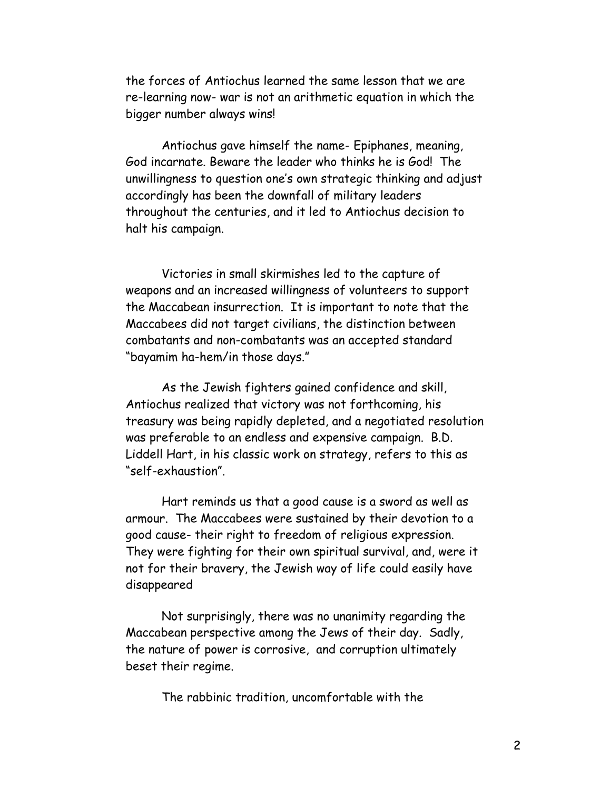the forces of Antiochus learned the same lesson that we are re-learning now- war is not an arithmetic equation in which the bigger number always wins!

Antiochus gave himself the name- Epiphanes, meaning, God incarnate. Beware the leader who thinks he is God! The unwillingness to question one's own strategic thinking and adjust accordingly has been the downfall of military leaders throughout the centuries, and it led to Antiochus decision to halt his campaign.

Victories in small skirmishes led to the capture of weapons and an increased willingness of volunteers to support the Maccabean insurrection. It is important to note that the Maccabees did not target civilians, the distinction between combatants and non-combatants was an accepted standard "bayamim ha-hem/in those days."

As the Jewish fighters gained confidence and skill, Antiochus realized that victory was not forthcoming, his treasury was being rapidly depleted, and a negotiated resolution was preferable to an endless and expensive campaign. B.D. Liddell Hart, in his classic work on strategy, refers to this as "self-exhaustion".

Hart reminds us that a good cause is a sword as well as armour. The Maccabees were sustained by their devotion to a good cause- their right to freedom of religious expression. They were fighting for their own spiritual survival, and, were it not for their bravery, the Jewish way of life could easily have disappeared

Not surprisingly, there was no unanimity regarding the Maccabean perspective among the Jews of their day. Sadly, the nature of power is corrosive, and corruption ultimately beset their regime.

The rabbinic tradition, uncomfortable with the